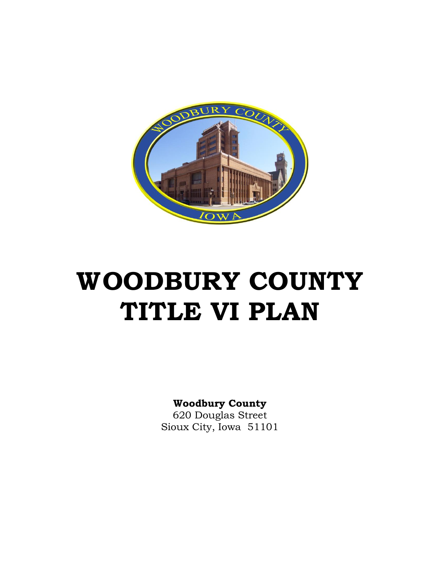

# **WOODBURY COUNTY TITLE VI PLAN**

# **Woodbury County**

620 Douglas Street Sioux City, Iowa 51101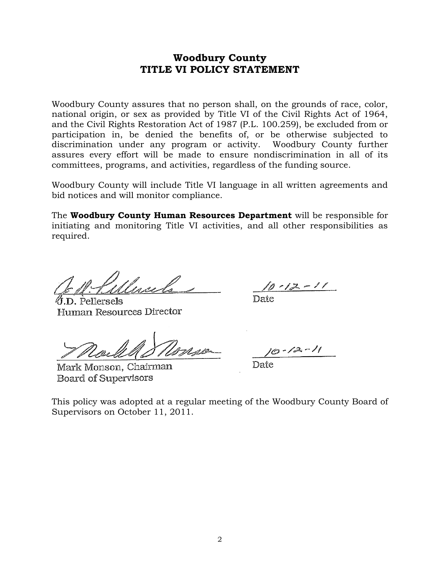# **Woodbury County TITLE VI POLICY STATEMENT**

Woodbury County assures that no person shall, on the grounds of race, color, national origin, or sex as provided by Title VI of the Civil Rights Act of 1964, and the Civil Rights Restoration Act of 1987 (P.L. 100.259), be excluded from or participation in, be denied the benefits of, or be otherwise subjected to discrimination under any program or activity. Woodbury County further assures every effort will be made to ensure nondiscrimination in all of its committees, programs, and activities, regardless of the funding source.

Woodbury County will include Title VI language in all written agreements and bid notices and will monitor compliance.

The **Woodbury County Human Resources Department** will be responsible for initiating and monitoring Title VI activities, and all other responsibilities as required.

∅.D. Pellersels Human Resources Director

Mark Monson, Chairman **Board of Supervisors** 

 $2 - 12 - 11$ 

 $\text{Date}$ 

Date

This policy was adopted at a regular meeting of the Woodbury County Board of Supervisors on October 11, 2011.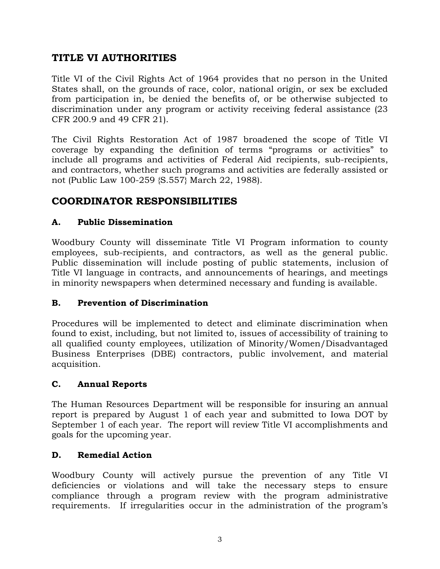# **TITLE VI AUTHORITIES**

Title VI of the Civil Rights Act of 1964 provides that no person in the United States shall, on the grounds of race, color, national origin, or sex be excluded from participation in, be denied the benefits of, or be otherwise subjected to discrimination under any program or activity receiving federal assistance (23 CFR 200.9 and 49 CFR 21).

The Civil Rights Restoration Act of 1987 broadened the scope of Title VI coverage by expanding the definition of terms "programs or activities" to include all programs and activities of Federal Aid recipients, sub-recipients, and contractors, whether such programs and activities are federally assisted or not (Public Law 100-259 {S.557} March 22, 1988).

# **COORDINATOR RESPONSIBILITIES**

# **A. Public Dissemination**

Woodbury County will disseminate Title VI Program information to county employees, sub-recipients, and contractors, as well as the general public. Public dissemination will include posting of public statements, inclusion of Title VI language in contracts, and announcements of hearings, and meetings in minority newspapers when determined necessary and funding is available.

# **B. Prevention of Discrimination**

Procedures will be implemented to detect and eliminate discrimination when found to exist, including, but not limited to, issues of accessibility of training to all qualified county employees, utilization of Minority/Women/Disadvantaged Business Enterprises (DBE) contractors, public involvement, and material acquisition.

# **C. Annual Reports**

The Human Resources Department will be responsible for insuring an annual report is prepared by August 1 of each year and submitted to Iowa DOT by September 1 of each year. The report will review Title VI accomplishments and goals for the upcoming year.

# **D. Remedial Action**

Woodbury County will actively pursue the prevention of any Title VI deficiencies or violations and will take the necessary steps to ensure compliance through a program review with the program administrative requirements. If irregularities occur in the administration of the program's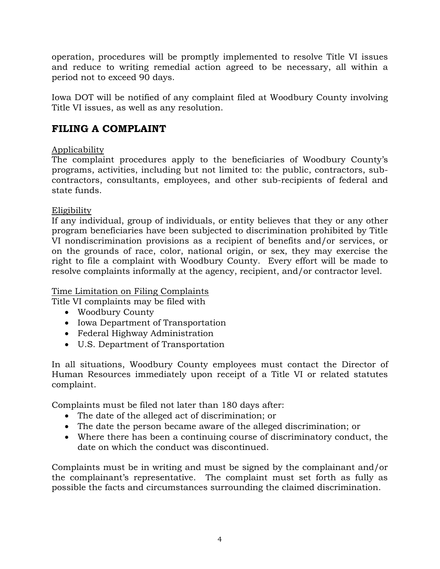operation, procedures will be promptly implemented to resolve Title VI issues and reduce to writing remedial action agreed to be necessary, all within a period not to exceed 90 days.

Iowa DOT will be notified of any complaint filed at Woodbury County involving Title VI issues, as well as any resolution.

# **FILING A COMPLAINT**

# Applicability

The complaint procedures apply to the beneficiaries of Woodbury County's programs, activities, including but not limited to: the public, contractors, subcontractors, consultants, employees, and other sub-recipients of federal and state funds.

# Eligibility

If any individual, group of individuals, or entity believes that they or any other program beneficiaries have been subjected to discrimination prohibited by Title VI nondiscrimination provisions as a recipient of benefits and/or services, or on the grounds of race, color, national origin, or sex, they may exercise the right to file a complaint with Woodbury County. Every effort will be made to resolve complaints informally at the agency, recipient, and/or contractor level.

# Time Limitation on Filing Complaints

Title VI complaints may be filed with

- Woodbury County
- Iowa Department of Transportation
- Federal Highway Administration
- U.S. Department of Transportation

In all situations, Woodbury County employees must contact the Director of Human Resources immediately upon receipt of a Title VI or related statutes complaint.

Complaints must be filed not later than 180 days after:

- The date of the alleged act of discrimination; or
- The date the person became aware of the alleged discrimination; or
- Where there has been a continuing course of discriminatory conduct, the date on which the conduct was discontinued.

Complaints must be in writing and must be signed by the complainant and/or the complainant's representative. The complaint must set forth as fully as possible the facts and circumstances surrounding the claimed discrimination.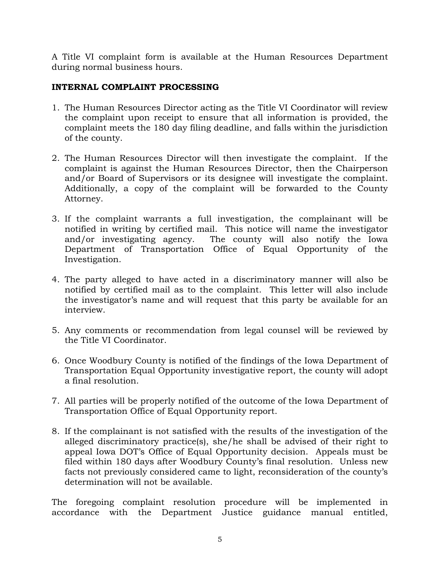A Title VI complaint form is available at the Human Resources Department during normal business hours.

# **INTERNAL COMPLAINT PROCESSING**

- 1. The Human Resources Director acting as the Title VI Coordinator will review the complaint upon receipt to ensure that all information is provided, the complaint meets the 180 day filing deadline, and falls within the jurisdiction of the county.
- 2. The Human Resources Director will then investigate the complaint. If the complaint is against the Human Resources Director, then the Chairperson and/or Board of Supervisors or its designee will investigate the complaint. Additionally, a copy of the complaint will be forwarded to the County Attorney.
- 3. If the complaint warrants a full investigation, the complainant will be notified in writing by certified mail. This notice will name the investigator and/or investigating agency. The county will also notify the Iowa Department of Transportation Office of Equal Opportunity of the Investigation.
- 4. The party alleged to have acted in a discriminatory manner will also be notified by certified mail as to the complaint. This letter will also include the investigator's name and will request that this party be available for an interview.
- 5. Any comments or recommendation from legal counsel will be reviewed by the Title VI Coordinator.
- 6. Once Woodbury County is notified of the findings of the Iowa Department of Transportation Equal Opportunity investigative report, the county will adopt a final resolution.
- 7. All parties will be properly notified of the outcome of the Iowa Department of Transportation Office of Equal Opportunity report.
- 8. If the complainant is not satisfied with the results of the investigation of the alleged discriminatory practice(s), she/he shall be advised of their right to appeal Iowa DOT's Office of Equal Opportunity decision. Appeals must be filed within 180 days after Woodbury County's final resolution. Unless new facts not previously considered came to light, reconsideration of the county's determination will not be available.

The foregoing complaint resolution procedure will be implemented in accordance with the Department Justice guidance manual entitled,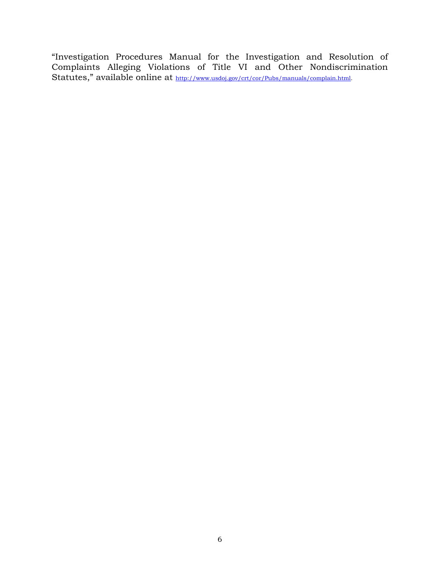"Investigation Procedures Manual for the Investigation and Resolution of Complaints Alleging Violations of Title VI and Other Nondiscrimination Statutes," available online at [http://www.usdoj.gov/crt/cor/Pubs/manuals/complain.html.](http://www.usdoj.gov/crt/cor/Pubs/manuals/complain.html)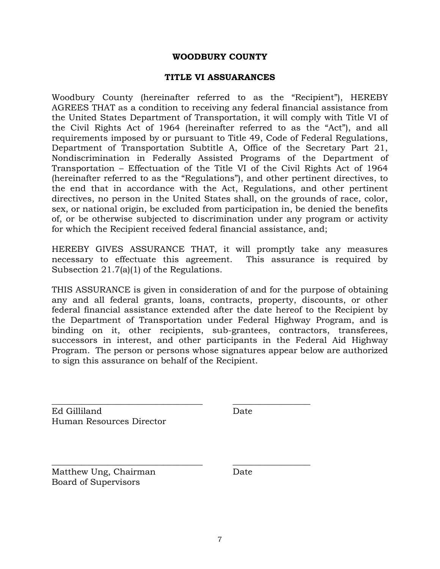#### **WOODBURY COUNTY**

#### **TITLE VI ASSUARANCES**

Woodbury County (hereinafter referred to as the "Recipient"), HEREBY AGREES THAT as a condition to receiving any federal financial assistance from the United States Department of Transportation, it will comply with Title VI of the Civil Rights Act of 1964 (hereinafter referred to as the "Act"), and all requirements imposed by or pursuant to Title 49, Code of Federal Regulations, Department of Transportation Subtitle A, Office of the Secretary Part 21, Nondiscrimination in Federally Assisted Programs of the Department of Transportation – Effectuation of the Title VI of the Civil Rights Act of 1964 (hereinafter referred to as the "Regulations"), and other pertinent directives, to the end that in accordance with the Act, Regulations, and other pertinent directives, no person in the United States shall, on the grounds of race, color, sex, or national origin, be excluded from participation in, be denied the benefits of, or be otherwise subjected to discrimination under any program or activity for which the Recipient received federal financial assistance, and;

HEREBY GIVES ASSURANCE THAT, it will promptly take any measures necessary to effectuate this agreement. This assurance is required by Subsection 21.7(a)(1) of the Regulations.

THIS ASSURANCE is given in consideration of and for the purpose of obtaining any and all federal grants, loans, contracts, property, discounts, or other federal financial assistance extended after the date hereof to the Recipient by the Department of Transportation under Federal Highway Program, and is binding on it, other recipients, sub-grantees, contractors, transferees, successors in interest, and other participants in the Federal Aid Highway Program. The person or persons whose signatures appear below are authorized to sign this assurance on behalf of the Recipient.

\_\_\_\_\_\_\_\_\_\_\_\_\_\_\_\_\_\_\_\_\_\_\_\_\_\_\_\_\_\_\_\_\_\_\_ \_\_\_\_\_\_\_\_\_\_\_\_\_\_\_\_\_\_

\_\_\_\_\_\_\_\_\_\_\_\_\_\_\_\_\_\_\_\_\_\_\_\_\_\_\_\_\_\_\_\_\_\_\_ \_\_\_\_\_\_\_\_\_\_\_\_\_\_\_\_\_\_

Ed Gilliland Date Human Resources Director

Matthew Ung, Chairman Date Board of Supervisors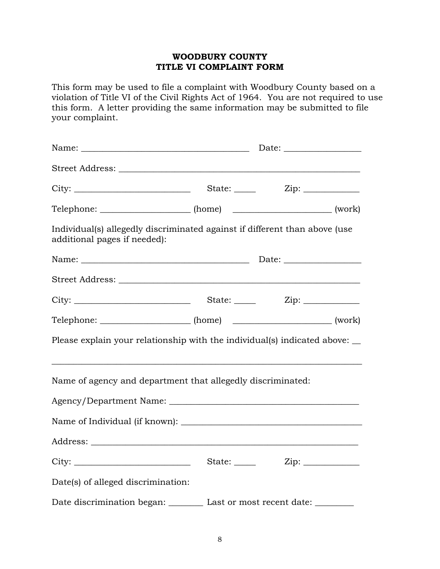# **WOODBURY COUNTY TITLE VI COMPLAINT FORM**

This form may be used to file a complaint with Woodbury County based on a violation of Title VI of the Civil Rights Act of 1964. You are not required to use this form. A letter providing the same information may be submitted to file your complaint.

| Telephone: ______________________ (home) ___________________________ (work)                                |  |  |  |  |  |
|------------------------------------------------------------------------------------------------------------|--|--|--|--|--|
| Individual(s) allegedly discriminated against if different than above (use<br>additional pages if needed): |  |  |  |  |  |
|                                                                                                            |  |  |  |  |  |
|                                                                                                            |  |  |  |  |  |
|                                                                                                            |  |  |  |  |  |
| Telephone: _____________________ (home) _________________________ (work)                                   |  |  |  |  |  |
| Please explain your relationship with the individual(s) indicated above:                                   |  |  |  |  |  |
| Name of agency and department that allegedly discriminated:                                                |  |  |  |  |  |
|                                                                                                            |  |  |  |  |  |
|                                                                                                            |  |  |  |  |  |
|                                                                                                            |  |  |  |  |  |
| City:                                                                                                      |  |  |  |  |  |
| Date(s) of alleged discrimination:                                                                         |  |  |  |  |  |
| Date discrimination began: Last or most recent date: ________                                              |  |  |  |  |  |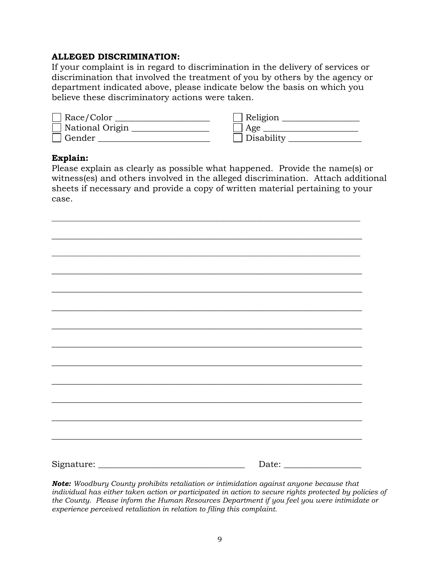#### **ALLEGED DISCRIMINATION:**

If your complaint is in regard to discrimination in the delivery of services or discrimination that involved the treatment of you by others by the agency or department indicated above, please indicate below the basis on which you believe these discriminatory actions were taken.

| Race/Color      | Religion      |
|-----------------|---------------|
| National Origin | $\vert$   Age |
| Gender          | Disability    |

#### **Explain:**

Please explain as clearly as possible what happened. Provide the name(s) or witness(es) and others involved in the alleged discrimination. Attach additional sheets if necessary and provide a copy of written material pertaining to your case.

\_\_\_\_\_\_\_\_\_\_\_\_\_\_\_\_\_\_\_\_\_\_\_\_\_\_\_\_\_\_\_\_\_\_\_\_\_\_\_\_\_\_\_\_\_\_\_\_\_\_\_\_\_\_\_\_\_\_\_\_\_\_\_\_\_\_\_\_\_\_\_\_\_\_\_\_\_\_\_\_\_\_\_\_\_\_

*Note: Woodbury County prohibits retaliation or intimidation against anyone because that individual has either taken action or participated in action to secure rights protected by policies of the County. Please inform the Human Resources Department if you feel you were intimidate or experience perceived retaliation in relation to filing this complaint.*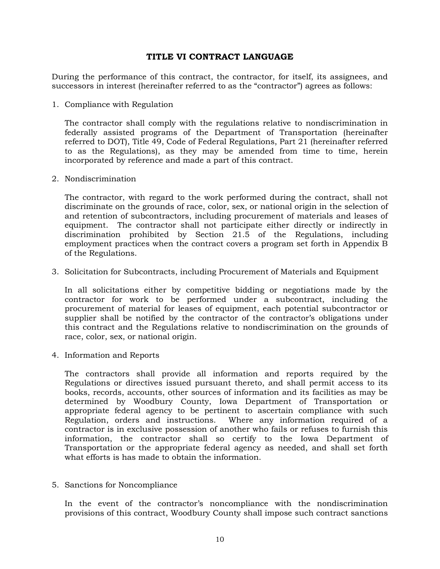#### **TITLE VI CONTRACT LANGUAGE**

During the performance of this contract, the contractor, for itself, its assignees, and successors in interest (hereinafter referred to as the "contractor") agrees as follows:

1. Compliance with Regulation

The contractor shall comply with the regulations relative to nondiscrimination in federally assisted programs of the Department of Transportation (hereinafter referred to DOT), Title 49, Code of Federal Regulations, Part 21 (hereinafter referred to as the Regulations), as they may be amended from time to time, herein incorporated by reference and made a part of this contract.

2. Nondiscrimination

The contractor, with regard to the work performed during the contract, shall not discriminate on the grounds of race, color, sex, or national origin in the selection of and retention of subcontractors, including procurement of materials and leases of equipment. The contractor shall not participate either directly or indirectly in discrimination prohibited by Section 21.5 of the Regulations, including employment practices when the contract covers a program set forth in Appendix B of the Regulations.

3. Solicitation for Subcontracts, including Procurement of Materials and Equipment

In all solicitations either by competitive bidding or negotiations made by the contractor for work to be performed under a subcontract, including the procurement of material for leases of equipment, each potential subcontractor or supplier shall be notified by the contractor of the contractor's obligations under this contract and the Regulations relative to nondiscrimination on the grounds of race, color, sex, or national origin.

4. Information and Reports

The contractors shall provide all information and reports required by the Regulations or directives issued pursuant thereto, and shall permit access to its books, records, accounts, other sources of information and its facilities as may be determined by Woodbury County, Iowa Department of Transportation or appropriate federal agency to be pertinent to ascertain compliance with such Regulation, orders and instructions. Where any information required of a contractor is in exclusive possession of another who fails or refuses to furnish this information, the contractor shall so certify to the Iowa Department of Transportation or the appropriate federal agency as needed, and shall set forth what efforts is has made to obtain the information.

5. Sanctions for Noncompliance

In the event of the contractor's noncompliance with the nondiscrimination provisions of this contract, Woodbury County shall impose such contract sanctions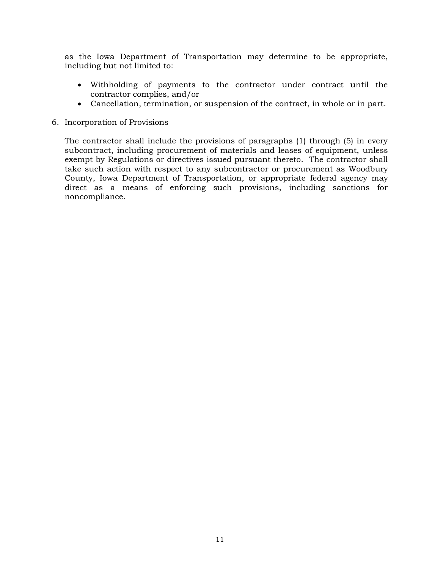as the Iowa Department of Transportation may determine to be appropriate, including but not limited to:

- Withholding of payments to the contractor under contract until the contractor complies, and/or
- Cancellation, termination, or suspension of the contract, in whole or in part.
- 6. Incorporation of Provisions

The contractor shall include the provisions of paragraphs (1) through (5) in every subcontract, including procurement of materials and leases of equipment, unless exempt by Regulations or directives issued pursuant thereto. The contractor shall take such action with respect to any subcontractor or procurement as Woodbury County, Iowa Department of Transportation, or appropriate federal agency may direct as a means of enforcing such provisions, including sanctions for noncompliance.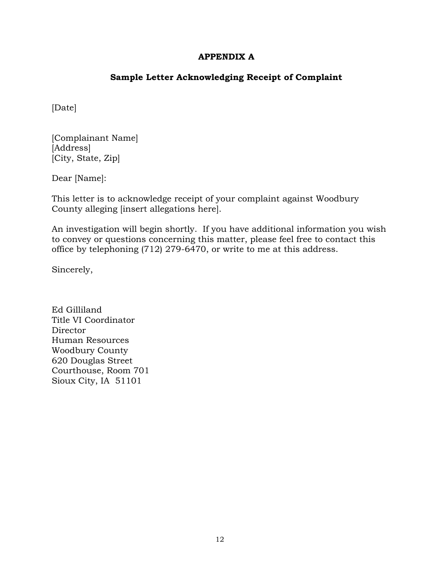# **APPENDIX A**

# **Sample Letter Acknowledging Receipt of Complaint**

[Date]

[Complainant Name] [Address] [City, State, Zip]

Dear [Name]:

This letter is to acknowledge receipt of your complaint against Woodbury County alleging [insert allegations here].

An investigation will begin shortly. If you have additional information you wish to convey or questions concerning this matter, please feel free to contact this office by telephoning (712) 279-6470, or write to me at this address.

Sincerely,

Ed Gilliland Title VI Coordinator **Director** Human Resources Woodbury County 620 Douglas Street Courthouse, Room 701 Sioux City, IA 51101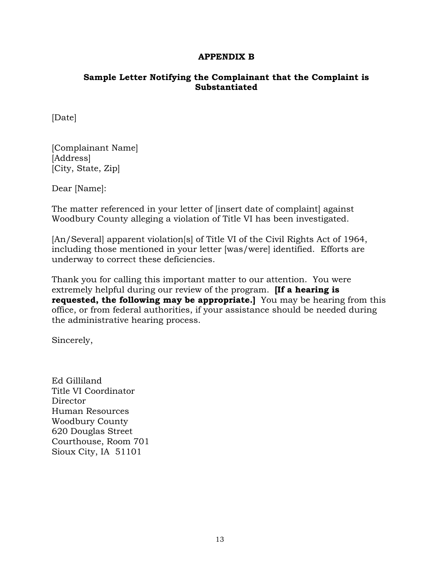#### **APPENDIX B**

#### **Sample Letter Notifying the Complainant that the Complaint is Substantiated**

[Date]

[Complainant Name] [Address] [City, State, Zip]

Dear [Name]:

The matter referenced in your letter of [insert date of complaint] against Woodbury County alleging a violation of Title VI has been investigated.

[An/Several] apparent violation[s] of Title VI of the Civil Rights Act of 1964, including those mentioned in your letter [was/were] identified. Efforts are underway to correct these deficiencies.

Thank you for calling this important matter to our attention. You were extremely helpful during our review of the program. **[If a hearing is requested, the following may be appropriate.]** You may be hearing from this office, or from federal authorities, if your assistance should be needed during the administrative hearing process.

Sincerely,

Ed Gilliland Title VI Coordinator **Director** Human Resources Woodbury County 620 Douglas Street Courthouse, Room 701 Sioux City, IA 51101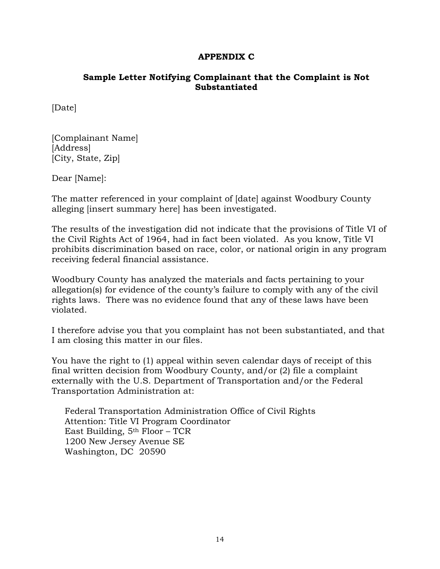#### **APPENDIX C**

#### **Sample Letter Notifying Complainant that the Complaint is Not Substantiated**

[Date]

[Complainant Name] [Address] [City, State, Zip]

Dear [Name]:

The matter referenced in your complaint of [date] against Woodbury County alleging [insert summary here] has been investigated.

The results of the investigation did not indicate that the provisions of Title VI of the Civil Rights Act of 1964, had in fact been violated. As you know, Title VI prohibits discrimination based on race, color, or national origin in any program receiving federal financial assistance.

Woodbury County has analyzed the materials and facts pertaining to your allegation(s) for evidence of the county's failure to comply with any of the civil rights laws. There was no evidence found that any of these laws have been violated.

I therefore advise you that you complaint has not been substantiated, and that I am closing this matter in our files.

You have the right to (1) appeal within seven calendar days of receipt of this final written decision from Woodbury County, and/or (2) file a complaint externally with the U.S. Department of Transportation and/or the Federal Transportation Administration at:

Federal Transportation Administration Office of Civil Rights Attention: Title VI Program Coordinator East Building,  $5<sup>th</sup>$  Floor – TCR 1200 New Jersey Avenue SE Washington, DC 20590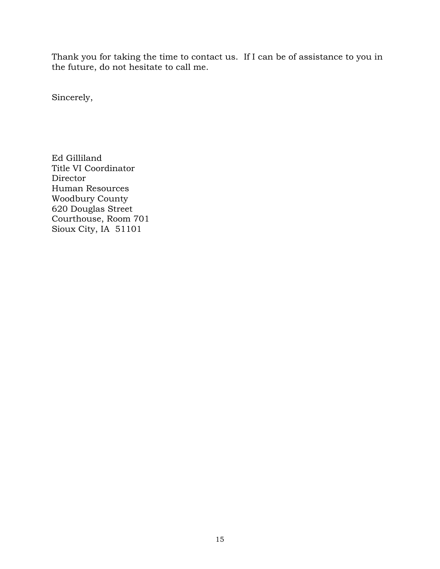Thank you for taking the time to contact us. If I can be of assistance to you in the future, do not hesitate to call me.

Sincerely,

Ed Gilliland Title VI Coordinator Director Human Resources Woodbury County 620 Douglas Street Courthouse, Room 701 Sioux City, IA 51101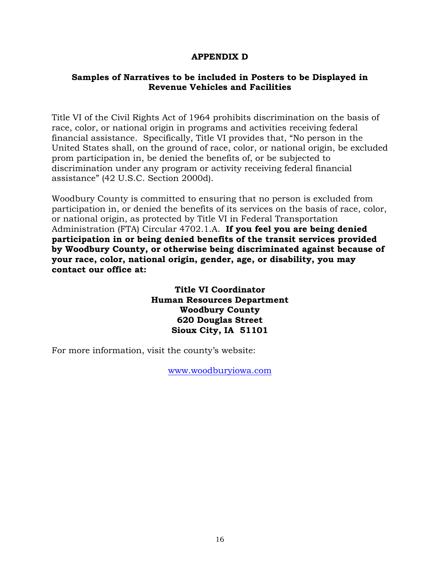#### **APPENDIX D**

#### **Samples of Narratives to be included in Posters to be Displayed in Revenue Vehicles and Facilities**

Title VI of the Civil Rights Act of 1964 prohibits discrimination on the basis of race, color, or national origin in programs and activities receiving federal financial assistance. Specifically, Title VI provides that, "No person in the United States shall, on the ground of race, color, or national origin, be excluded prom participation in, be denied the benefits of, or be subjected to discrimination under any program or activity receiving federal financial assistance" (42 U.S.C. Section 2000d).

Woodbury County is committed to ensuring that no person is excluded from participation in, or denied the benefits of its services on the basis of race, color, or national origin, as protected by Title VI in Federal Transportation Administration (FTA) Circular 4702.1.A. **If you feel you are being denied participation in or being denied benefits of the transit services provided by Woodbury County, or otherwise being discriminated against because of your race, color, national origin, gender, age, or disability, you may contact our office at:**

> **Title VI Coordinator Human Resources Department Woodbury County 620 Douglas Street Sioux City, IA 51101**

For more information, visit the county's website:

[www.woodburyiowa.com](http://www.woodburyiowa.com/)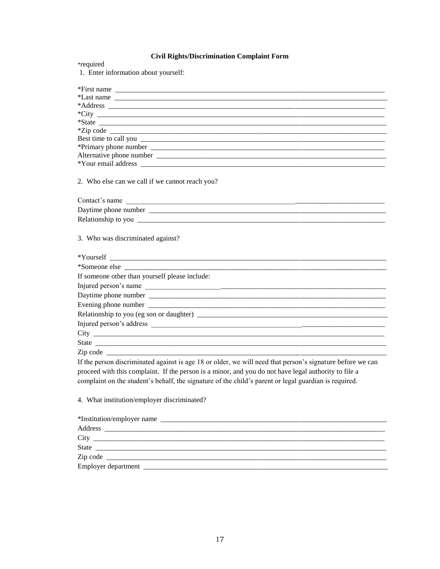#### **Civil Rights/Discrimination Complaint Form**

\*required<br>1. Enter information about yourself:

| *First name $\frac{1}{\sqrt{1-\frac{1}{2}}\sqrt{1-\frac{1}{2}}\sqrt{1-\frac{1}{2}}\sqrt{1-\frac{1}{2}}}}$                                                                                                                            |
|--------------------------------------------------------------------------------------------------------------------------------------------------------------------------------------------------------------------------------------|
| *Last name                                                                                                                                                                                                                           |
|                                                                                                                                                                                                                                      |
|                                                                                                                                                                                                                                      |
|                                                                                                                                                                                                                                      |
|                                                                                                                                                                                                                                      |
|                                                                                                                                                                                                                                      |
|                                                                                                                                                                                                                                      |
| Alternative phone number <b>and the contract of the contract of the contract of the contract of the contract of the contract of the contract of the contract of the contract of the contract of the contract of the contract of </b> |
|                                                                                                                                                                                                                                      |
| 2. Who else can we call if we cannot reach you?                                                                                                                                                                                      |
| Contact's name                                                                                                                                                                                                                       |
|                                                                                                                                                                                                                                      |
|                                                                                                                                                                                                                                      |
| 3. Who was discriminated against?                                                                                                                                                                                                    |
| *Someone else                                                                                                                                                                                                                        |
| If someone other than yourself please include:                                                                                                                                                                                       |
| Injured person's name                                                                                                                                                                                                                |
|                                                                                                                                                                                                                                      |
|                                                                                                                                                                                                                                      |
|                                                                                                                                                                                                                                      |
|                                                                                                                                                                                                                                      |
|                                                                                                                                                                                                                                      |
|                                                                                                                                                                                                                                      |
|                                                                                                                                                                                                                                      |
| If the person discriminated against is age 18 or older, we will need that person's signature before we can                                                                                                                           |
| proceed with this complaint. If the person is a minor, and you do not have legal authority to file a                                                                                                                                 |
| complaint on the student's behalf, the signature of the child's parent or legal guardian is required.                                                                                                                                |
|                                                                                                                                                                                                                                      |
|                                                                                                                                                                                                                                      |

4. What institution/employer discriminated?